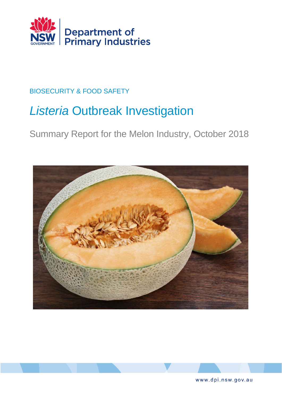

# BIOSECURITY & FOOD SAFETY

# *Listeria* Outbreak Investigation

Summary Report for the Melon Industry, October 2018





www.dpi.nsw.gov.au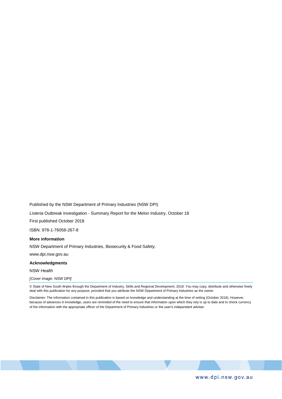Published by the NSW Department of Primary Industries (NSW DPI)

*Listeria* Outbreak Investigation - Summary Report for the Melon Industry, October 18

First published October 2018

ISBN: 978-1-76058-267-8

#### **More information**

NSW Department of Primary Industries, Biosecurity & Food Safety.

www.dpi.nsw.gov.au

#### **Acknowledgments**

NSW Health

*[Cover image: NSW DPI]*

© State of New South Wales through the Department of Industry, Skills and Regional Development, 2018. You may copy, distribute and otherwise freely deal with this publication for any purpose, provided that you attribute the NSW Department of Primary Industries as the owner.

Disclaimer: The information contained in this publication is based on knowledge and understanding at the time of writing (October 2018). However, because of advances in knowledge, users are reminded of the need to ensure that information upon which they rely is up to date and to check currency of the information with the appropriate officer of the Department of Primary Industries or the user's independent adviser.

www.dpi.nsw.gov.au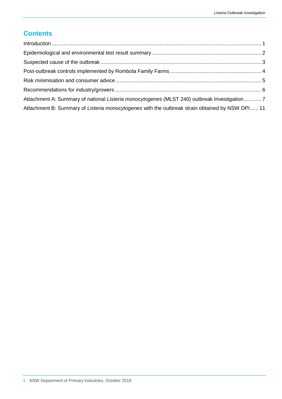## **Contents**

| Attachment A: Summary of national Listeria monocytogenes (MLST 240) outbreak Investigation7     |  |
|-------------------------------------------------------------------------------------------------|--|
| Attachment B: Summary of Listeria monocytogenes with the outbreak strain obtained by NSW DPI 11 |  |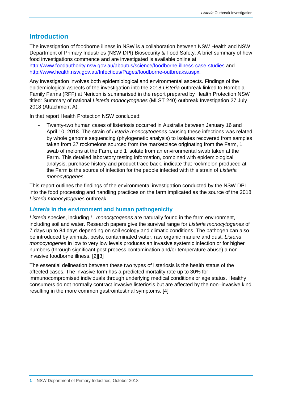### <span id="page-3-0"></span>**Introduction**

The investigation of foodborne illness in NSW is a collaboration between NSW Health and NSW Department of Primary Industries (NSW DPI) Biosecurity & Food Safety. A brief summary of how food investigations commence and are investigated is available online at <http://www.foodauthority.nsw.gov.au/aboutus/science/foodborne-illness-case-studies> and [http://www.health.nsw.gov.au/Infectious/Pages/foodborne-outbreaks.aspx.](http://www.health.nsw.gov.au/Infectious/Pages/foodborne-outbreaks.aspx)

Any investigation involves both epidemiological and environmental aspects. Findings of the epidemiological aspects of the investigation into the 2018 *Listeria* outbreak linked to Rombola Family Farms (RFF) at Nericon is summarised in the report prepared by Health Protection NSW titled: Summary of national *Listeria monocytogenes* (MLST 240) outbreak Investigation 27 July 2018 (Attachment A).

In that report Health Protection NSW concluded:

- Twenty-two human cases of listeriosis occurred in Australia between January 16 and April 10, 2018. The strain of *Listeria monocytogenes* causing these infections was related by whole genome sequencing (phylogenetic analysis) to isolates recovered from samples taken from 37 rockmelons sourced from the marketplace originating from the Farm, 1 swab of melons at the Farm, and 1 isolate from an environmental swab taken at the Farm. This detailed laboratory testing information, combined with epidemiological analysis, purchase history and product trace back, indicate that rockmelon produced at the Farm is the source of infection for the people infected with this strain of *Listeria monocytogenes*.

This report outlines the findings of the environmental investigation conducted by the NSW DPI into the food processing and handling practices on the farm implicated as the source of the 2018 *Listeria monocytogenes* outbreak.

#### *Listeria* **in the environment and human pathogenicity**

*Listeria* species, including *L. monocytogenes* are naturally found in the farm environment, including soil and water. Research papers give the survival range for *Listeria monocytogenes* of 7 days up to 84 days depending on soil ecology and climatic conditions. The pathogen can also be introduced by animals, pests, contaminated water, raw organic manure and dust. *Listeria monocytogenes* in low to very low levels produces an invasive systemic infection or for higher numbers (through significant post process contamination and/or temperature abuse) a noninvasive foodborne illness. [2][3]

<span id="page-3-1"></span>The essential delineation between these two types of listeriosis is the health status of the affected cases. The invasive form has a predicted mortality rate up to 30% for immunocompromised individuals through underlying medical conditions or age status. Healthy consumers do not normally contract invasive listeriosis but are affected by the non–invasive kind resulting in the more common gastrointestinal symptoms. [4]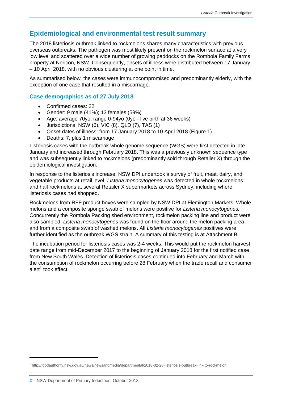## **Epidemiological and environmental test result summary**

The 2018 listeriosis outbreak linked to rockmelons shares many characteristics with previous overseas outbreaks. The pathogen was most likely present on the rockmelon surface at a very low level and scattered over a wide number of growing paddocks on the Rombola Family Farms property at Nericon, NSW. Consequently, onsets of illness were distributed between 17 January – 10 April 2018, with no obvious clustering at one point in time.

As summarised below, the cases were immunocompromised and predominantly elderly, with the exception of one case that resulted in a miscarriage.

#### **Case demographics as of 27 July 2018**

- Confirmed cases: 22
- Gender: 9 male (41%); 13 females (59%)
- Age: average 70yo; range 0-94yo (0yo live birth at 36 weeks)
- Jurisdictions: NSW (6), VIC (8), QLD (7), TAS (1)
- Onset dates of illness: from 17 January 2018 to 10 April 2018 (Figure 1)
- Deaths: 7, plus 1 miscarriage

Listeriosis cases with the outbreak whole genome sequence (WGS) were first detected in late January and increased through February 2018. This was a previously unknown sequence type and was subsequently linked to rockmelons (predominantly sold through Retailer X) through the epidemiological investigation.

In response to the listeriosis increase, NSW DPI undertook a survey of fruit, meat, dairy, and vegetable products at retail level. *Listeria monocytogenes* was detected in whole rockmelons and half rockmelons at several Retailer X supermarkets across Sydney, including where listeriosis cases had shopped.

Rockmelons from RFF product boxes were sampled by NSW DPI at Flemington Markets. Whole melons and a composite sponge swab of melons were positive for *Listeria monocytogenes.*  Concurrently the Rombola Packing shed environment, rockmelon packing line and product were also sampled. *Listeria monocytogenes* was found on the floor around the melon packing area and from a composite swab of washed melons. All *Listeria monocytogenes* positives were further identified as the outbreak WGS strain. A summary of this testing is at Attachment B.

<span id="page-4-0"></span>The incubation period for listeriosis cases was 2-4 weeks. This would put the rockmelon harvest date range from mid-December 2017 to the beginning of January 2018 for the first notified case from New South Wales. Detection of listeriosis cases continued into February and March with the consumption of rockmelon occurring before 28 February when the trade recall and consumer alert<sup>1</sup> took effect.

<sup>1</sup> http://foodauthority.nsw.gov.au/news/newsandmedia/departmental/2018-02-28-listeriosis-outbreak-link-to-rockmelon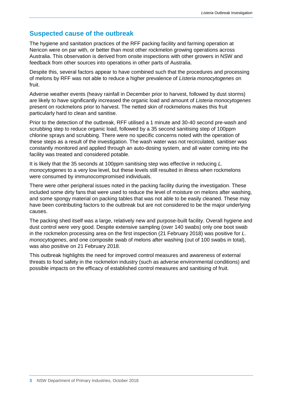## **Suspected cause of the outbreak**

The hygiene and sanitation practices of the RFF packing facility and farming operation at Nericon were on par with, or better than most other rockmelon growing operations across Australia. This observation is derived from onsite inspections with other growers in NSW and feedback from other sources into operations in other parts of Australia.

Despite this, several factors appear to have combined such that the procedures and processing of melons by RFF was not able to reduce a higher prevalence of *Listeria monocytogenes* on fruit.

Adverse weather events (heavy rainfall in December prior to harvest, followed by dust storms) are likely to have significantly increased the organic load and amount of *Listeria monocytogenes* present on rockmelons prior to harvest. The netted skin of rockmelons makes this fruit particularly hard to clean and sanitise.

Prior to the detection of the outbreak, RFF utilised a 1 minute and 30-40 second pre-wash and scrubbing step to reduce organic load, followed by a 35 second sanitising step of 100ppm chlorine sprays and scrubbing. There were no specific concerns noted with the operation of these steps as a result of the investigation. The wash water was not recirculated, sanitiser was constantly monitored and applied through an auto-dosing system, and all water coming into the facility was treated and considered potable.

It is likely that the 35 seconds at 100ppm sanitising step was effective in reducing *L. monocytogenes* to a very low level, but these levels still resulted in illness when rockmelons were consumed by immunocompromised individuals.

There were other peripheral issues noted in the packing facility during the investigation. These included some dirty fans that were used to reduce the level of moisture on melons after washing, and some spongy material on packing tables that was not able to be easily cleaned. These may have been contributing factors to the outbreak but are not considered to be the major underlying causes.

The packing shed itself was a large, relatively new and purpose-built facility. Overall hygiene and dust control were very good. Despite extensive sampling (over 140 swabs) only one boot swab in the rockmelon processing area on the first inspection (21 February 2018) was positive for *L. monocytogenes*, and one composite swab of melons after washing (out of 100 swabs in total), was also positive on 21 February 2018.

This outbreak highlights the need for improved control measures and awareness of external threats to food safety in the rockmelon industry (such as adverse environmental conditions) and possible impacts on the efficacy of established control measures and sanitising of fruit.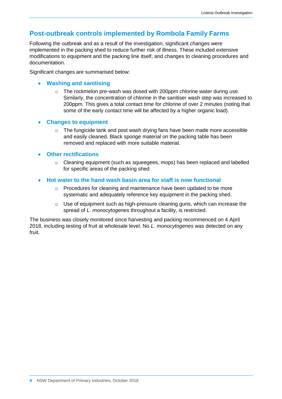## <span id="page-6-0"></span>**Post-outbreak controls implemented by Rombola Family Farms**

Following the outbreak and as a result of the investigation, significant changes were implemented in the packing shed to reduce further risk of illness. These included extensive modifications to equipment and the packing line itself, and changes to cleaning procedures and documentation.

Significant changes are summarised below:

#### • **Washing and sanitising**

- $\circ$  The rockmelon pre-wash was dosed with 200ppm chlorine water during use. Similarly, the concentration of chlorine in the sanitiser wash step was increased to 200ppm. This gives a total contact time for chlorine of over 2 minutes (noting that some of the early contact time will be affected by a higher organic load).
- **Changes to equipment**
	- $\circ$  The fungicide tank and post wash drying fans have been made more accessible and easily cleaned. Black sponge material on the packing table has been removed and replaced with more suitable material.

#### • **Other rectifications**

- $\circ$  Cleaning equipment (such as squeegees, mops) has been replaced and labelled for specific areas of the packing shed
- **Hot water to the hand wash basin area for staff is now functional**
	- $\circ$  Procedures for cleaning and maintenance have been updated to be more systematic and adequately reference key equipment in the packing shed.
	- $\circ$  Use of equipment such as high-pressure cleaning guns, which can increase the spread of *L. monocytogenes* throughout a facility, is restricted.

<span id="page-6-1"></span>The business was closely monitored since harvesting and packing recommenced on 4 April 2018, including testing of fruit at wholesale level. No *L. monocytogenes* was detected on any fruit.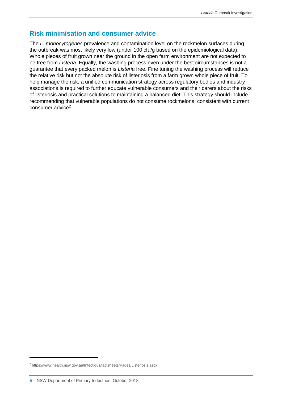## **Risk minimisation and consumer advice**

<span id="page-7-0"></span>The *L. monocytogenes* prevalence and contamination level on the rockmelon surfaces during the outbreak was most likely very low (under 100 cfu/g based on the epidemiological data). Whole pieces of fruit grown near the ground in the open farm environment are not expected to be free from *Listeria*. Equally, the washing process even under the best circumstances is not a guarantee that every packed melon is *Listeria* free. Fine tuning the washing process will reduce the relative risk but not the absolute risk of listeriosis from a farm grown whole piece of fruit. To help manage the risk, a unified communication strategy across regulatory bodies and industry associations is required to further educate vulnerable consumers and their carers about the risks of listeriosis and practical solutions to maintaining a balanced diet. This strategy should include recommending that vulnerable populations do not consume rockmelons, consistent with current consumer advice<sup>2</sup>.

<sup>2</sup> https://www.health.nsw.gov.au/Infectious/factsheets/Pages/Listeriosis.aspx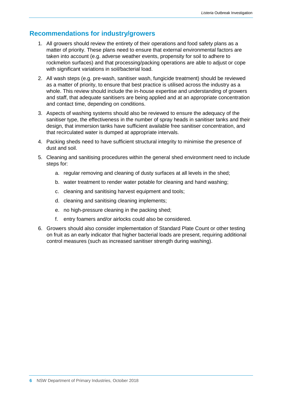## **Recommendations for industry/growers**

- 1. All growers should review the entirety of their operations and food safety plans as a matter of priority. These plans need to ensure that external environmental factors are taken into account (e.g. adverse weather events, propensity for soil to adhere to rockmelon surfaces) and that processing/packing operations are able to adjust or cope with significant variations in soil/bacterial load.
- 2. All wash steps (e.g. pre-wash, sanitiser wash, fungicide treatment) should be reviewed as a matter of priority, to ensure that best practice is utilised across the industry as a whole. This review should include the in-house expertise and understanding of growers and staff, that adequate sanitisers are being applied and at an appropriate concentration and contact time, depending on conditions.
- 3. Aspects of washing systems should also be reviewed to ensure the adequacy of the sanitiser type, the effectiveness in the number of spray heads in sanitiser tanks and their design, that immersion tanks have sufficient available free sanitiser concentration, and that recirculated water is dumped at appropriate intervals.
- 4. Packing sheds need to have sufficient structural integrity to minimise the presence of dust and soil.
- 5. Cleaning and sanitising procedures within the general shed environment need to include steps for:
	- a. regular removing and cleaning of dusty surfaces at all levels in the shed;
	- b. water treatment to render water potable for cleaning and hand washing;
	- c. cleaning and sanitising harvest equipment and tools;
	- d. cleaning and sanitising cleaning implements;
	- e. no high-pressure cleaning in the packing shed;
	- f. entry foamers and/or airlocks could also be considered.
- 6. Growers should also consider implementation of Standard Plate Count or other testing on fruit as an early indicator that higher bacterial loads are present, requiring additional control measures (such as increased sanitiser strength during washing).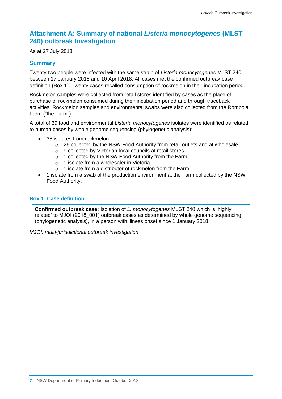## <span id="page-9-0"></span>**Attachment A: Summary of national** *Listeria monocytogenes* **(MLST 240) outbreak Investigation**

As at 27 July 2018

#### **Summary**

Twenty-two people were infected with the same strain of *Listeria monocytogenes* MLST 240 between 17 January 2018 and 10 April 2018. All cases met the confirmed outbreak case definition (Box 1). Twenty cases recalled consumption of rockmelon in their incubation period.

Rockmelon samples were collected from retail stores identified by cases as the place of purchase of rockmelon consumed during their incubation period and through traceback activities. Rockmelon samples and environmental swabs were also collected from the Rombola Farm ("the Farm").

A total of 39 food and environmental *Listeria monocytogenes* isolates were identified as related to human cases by whole genome sequencing (phylogenetic analysis):

- 38 isolates from rockmelon
	- o 26 collected by the NSW Food Authority from retail outlets and at wholesale
	- o 9 collected by Victorian local councils at retail stores
	- o 1 collected by the NSW Food Authority from the Farm
	- o 1 isolate from a wholesaler in Victoria
	- $\circ$  1 isolate from a distributor of rockmelon from the Farm
- 1 isolate from a swab of the production environment at the Farm collected by the NSW Food Authority.

#### **Box 1: Case definition**

**Confirmed outbreak case:** Isolation of *L. monocytogenes* MLST 240 which is 'highly related' to MJOI (2018\_001) outbreak cases as determined by whole genome sequencing (phylogenetic analysis), in a person with illness onset since 1 January 2018

*MJOI: multi-jurisdictional outbreak investigation*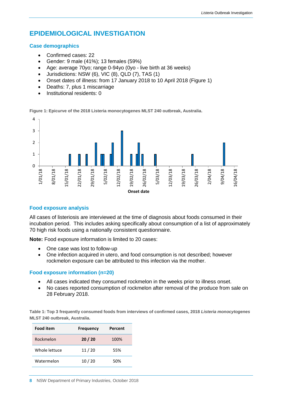## **EPIDEMIOLOGICAL INVESTIGATION**

#### **Case demographics**

- Confirmed cases: 22
- Gender: 9 male (41%); 13 females (59%)
- Age: average 70yo; range 0-94yo (0yo live birth at 36 weeks)
- Jurisdictions: NSW (6), VIC (8), QLD (7), TAS (1)
- Onset dates of illness: from 17 January 2018 to 10 April 2018 (Figure 1)
- Deaths: 7, plus 1 miscarriage
- Institutional residents: 0

**Figure 1: Epicurve of the 2018 Listeria monocytogenes MLST 240 outbreak, Australia.**



#### **Food exposure analysis**

All cases of listeriosis are interviewed at the time of diagnosis about foods consumed in their incubation period. This includes asking specifically about consumption of a list of approximately 70 high risk foods using a nationally consistent questionnaire.

**Note:** Food exposure information is limited to 20 cases:

- One case was lost to follow-up
- One infection acquired in utero, and food consumption is not described; however rockmelon exposure can be attributed to this infection via the mother.

#### **Food exposure information (n=20)**

- All cases indicated they consumed rockmelon in the weeks prior to illness onset.
- No cases reported consumption of rockmelon after removal of the produce from sale on 28 February 2018.

**Table 1: Top 3 frequently consumed foods from interviews of confirmed cases, 2018** *Listeria monocytogenes*  **MLST 240 outbreak, Australia.**

| <b>Food item</b> | <b>Frequency</b> | Percent |
|------------------|------------------|---------|
| Rockmelon        | 20/20            | 100%    |
| Whole lettuce    | 11/20            | 55%     |
| Watermelon       | 10/20            | 50%     |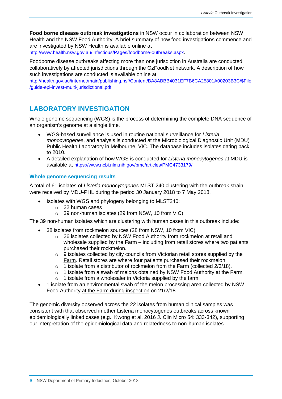**Food borne disease outbreak investigations** in NSW occur in collaboration between NSW Health and the NSW Food Authority. A brief summary of how food investigations commence and are investigated by NSW Health is available online at

<http://www.health.nsw.gov.au/Infectious/Pages/foodborne-outbreaks.aspx>.

Foodborne disease outbreaks affecting more than one jurisdiction in Australia are conducted collaboratively by affected jurisdictions through the OzFoodNet network. A description of how such investigations are conducted is available online at

[http://health.gov.au/internet/main/publishing.nsf/Content/BA8ABBB4031EF7B6CA25801A00203B3C/\\$File](http://health.gov.au/internet/main/publishing.nsf/Content/BA8ABBB4031EF7B6CA25801A00203B3C/$File/guide-epi-invest-multi-jurisdictional.pdf) [/guide-epi-invest-multi-jurisdictional.pdf](http://health.gov.au/internet/main/publishing.nsf/Content/BA8ABBB4031EF7B6CA25801A00203B3C/$File/guide-epi-invest-multi-jurisdictional.pdf)

## **LABORATORY INVESTIGATION**

Whole genome sequencing (WGS) is the process of determining the complete DNA sequence of an organism's genome at a single time.

- WGS-based surveillance is used in routine national surveillance for *Listeria monocytogenes*, and analysis is conducted at the Microbiological Diagnostic Unit (MDU) Public Health Laboratory in Melbourne, VIC. The database includes isolates dating back to 2010.
- A detailed explanation of how WGS is conducted for *Listeria monocytogenes* at MDU is available at <https://www.ncbi.nlm.nih.gov/pmc/articles/PMC4733179/>

#### **Whole genome sequencing results**

A total of 61 isolates of *Listeria monocytogenes* MLST 240 clustering with the outbreak strain were received by MDU-PHL during the period 30 January 2018 to 7 May 2018.

- Isolates with WGS and phylogeny belonging to MLST240:
	- o 22 human cases
	- o 39 non-human isolates (29 from NSW, 10 from VIC)

The 39 non-human isolates which are clustering with human cases in this outbreak include:

- 38 isolates from rockmelon sources (28 from NSW, 10 from VIC)
	- $\circ$  26 isolates collected by NSW Food Authority from rockmelon at retail and wholesale supplied by the Farm – including from retail stores where two patients purchased their rockmelon.
	- o 9 isolates collected by city councils from Victorian retail stores supplied by the Farm. Retail stores are where four patients purchased their rockmelon.
	- $\circ$  1 isolate from a distributor of rockmelon from the Farm (collected 2/3/18).
	- $\circ$  1 isolate from a swab of melons obtained by NSW Food Authority at the Farm
	- $\circ$  1 isolate from a wholesaler in Victoria supplied by the farm
- 1 isolate from an environmental swab of the melon processing area collected by NSW Food Authority at the Farm during inspection on 21/2/18.

The genomic diversity observed across the 22 isolates from human clinical samples was consistent with that observed in other Listeria monocytogenes outbreaks across known epidemiologically linked cases (e.g., Kwong et al. 2016 J. Clin Micro 54: 333-342), supporting our interpretation of the epidemiological data and relatedness to non-human isolates.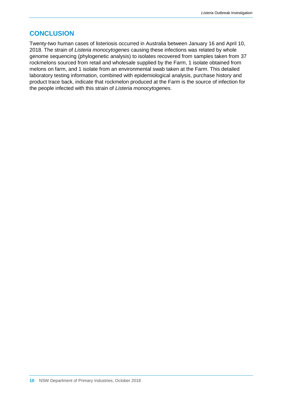## **CONCLUSION**

Twenty-two human cases of listeriosis occurred in Australia between January 16 and April 10, 2018. The strain of *Listeria monocytogenes* causing these infections was related by whole genome sequencing (phylogenetic analysis) to isolates recovered from samples taken from 37 rockmelons sourced from retail and wholesale supplied by the Farm, 1 isolate obtained from melons on farm, and 1 isolate from an environmental swab taken at the Farm. This detailed laboratory testing information, combined with epidemiological analysis, purchase history and product trace back, indicate that rockmelon produced at the Farm is the source of infection for the people infected with this strain of *Listeria monocytogenes*.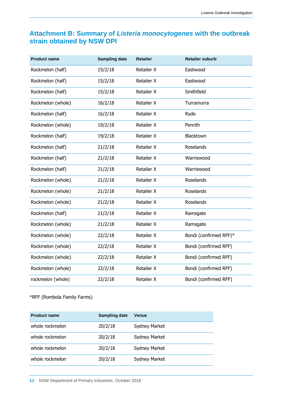## <span id="page-13-0"></span>**Attachment B: Summary of** *Listeria monocytogenes* **with the outbreak strain obtained by NSW DPI**

| <b>Product name</b> | <b>Sampling date</b> | <b>Retailer</b>   | <b>Retailer suburb</b> |
|---------------------|----------------------|-------------------|------------------------|
| Rockmelon (half)    | 15/2/18              | <b>Retailer X</b> | Eastwood               |
| Rockmelon (half)    | 15/2/18              | Retailer X        | Eastwood               |
| Rockmelon (half)    | 15/2/18              | Retailer X        | Smithfield             |
| Rockmelon (whole)   | 16/2/18              | <b>Retailer X</b> | Turramurra             |
| Rockmelon (half)    | 16/2/18              | Retailer X        | Ryde                   |
| Rockmelon (whole)   | 19/2/18              | <b>Retailer X</b> | Penrith                |
| Rockmelon (half)    | 19/2/18              | Retailer X        | Blacktown              |
| Rockmelon (half)    | 21/2/18              | Retailer X        | Roselands              |
| Rockmelon (half)    | 21/2/18              | <b>Retailer X</b> | Warriewood             |
| Rockmelon (half)    | 21/2/18              | Retailer X        | Warriewood             |
| Rockmelon (whole)   | 21/2/18              | <b>Retailer X</b> | Roselands              |
| Rockmelon (whole)   | 21/2/18              | Retailer X        | Roselands              |
| Rockmelon (whole)   | 21/2/18              | Retailer X        | Roselands              |
| Rockmelon (half)    | 21/2/18              | <b>Retailer X</b> | Ramsgate               |
| Rockmelon (whole)   | 21/2/18              | Retailer X        | Ramsgate               |
| Rockmelon (whole)   | 22/2/18              | <b>Retailer X</b> | Bondi (confirmed RFF)* |
| Rockmelon (whole)   | 22/2/18              | Retailer X        | Bondi (confirmed RFF)  |
| Rockmelon (whole)   | 22/2/18              | <b>Retailer X</b> | Bondi (confirmed RFF)  |
| Rockmelon (whole)   | 22/2/18              | <b>Retailer X</b> | Bondi (confirmed RFF)  |
| rockmelon (whole)   | 22/2/18              | Retailer X        | Bondi (confirmed RFF)  |

#### \*RFF (Rombola Family Farms)

| <b>Product name</b> | <b>Sampling date</b> | Venue                |
|---------------------|----------------------|----------------------|
| whole rockmelon     | 20/2/18              | <b>Sydney Market</b> |
| whole rockmelon     | 20/2/18              | <b>Sydney Market</b> |
| whole rockmelon     | 20/2/18              | <b>Sydney Market</b> |
| whole rockmelon     | 20/2/18              | <b>Sydney Market</b> |